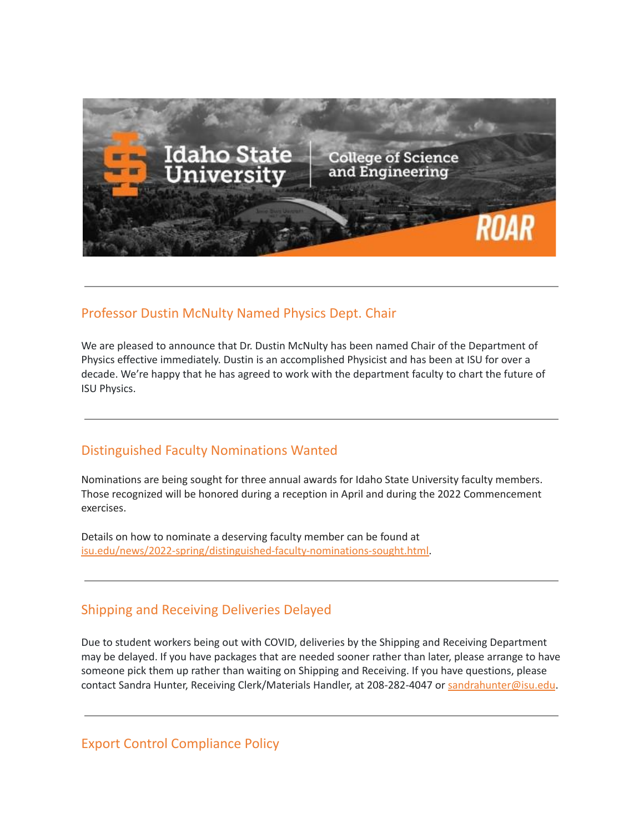

### Professor Dustin McNulty Named Physics Dept. Chair

We are pleased to announce that Dr. Dustin McNulty has been named Chair of the Department of Physics effective immediately. Dustin is an accomplished Physicist and has been at ISU for over a decade. We're happy that he has agreed to work with the department faculty to chart the future of ISU Physics.

### Distinguished Faculty Nominations Wanted

Nominations are being sought for three annual awards for Idaho State University faculty members. Those recognized will be honored during a reception in April and during the 2022 Commencement exercises.

Details on how to nominate a deserving faculty member can be found at [isu.edu/news/2022-spring/distinguished-faculty-nominations-sought.html.](https://www.isu.edu/news/2022-spring/distinguished-faculty-nominations-sought.html)

## Shipping and Receiving Deliveries Delayed

Due to student workers being out with COVID, deliveries by the Shipping and Receiving Department may be delayed. If you have packages that are needed sooner rather than later, please arrange to have someone pick them up rather than waiting on Shipping and Receiving. If you have questions, please contact Sandra Hunter, Receiving Clerk/Materials Handler, at 208-282-4047 or [sandrahunter@isu.edu](mailto:sandrahunter@isu.edu).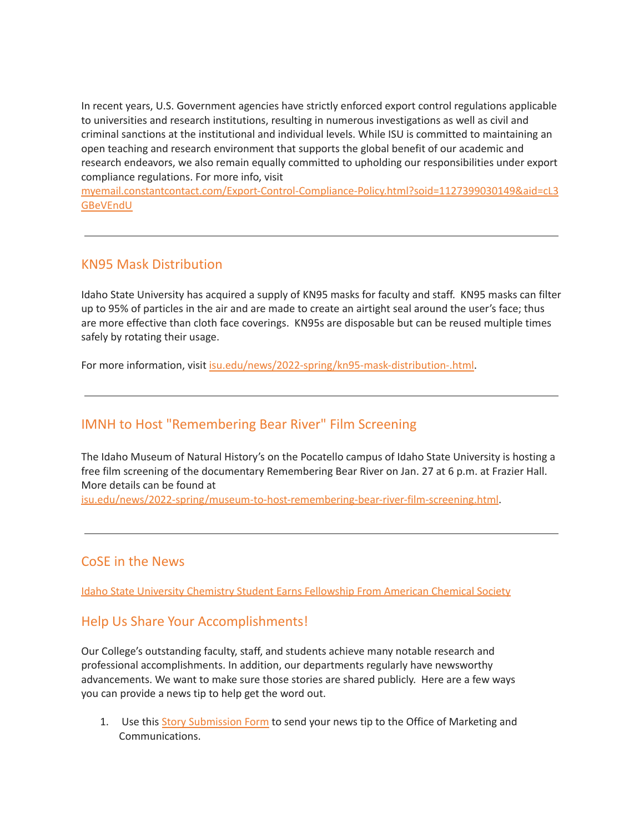In recent years, U.S. Government agencies have strictly enforced export control regulations applicable to universities and research institutions, resulting in numerous investigations as well as civil and criminal sanctions at the institutional and individual levels. While ISU is committed to maintaining an open teaching and research environment that supports the global benefit of our academic and research endeavors, we also remain equally committed to upholding our responsibilities under export compliance regulations. For more info, visit

[myemail.constantcontact.com/Export-Control-Compliance-Policy.html?soid=1127399030149&aid=cL3](https://myemail.constantcontact.com/Export-Control-Compliance-Policy.html?soid=1127399030149&aid=cL3GBeVEndU) **[GBeVEndU](https://myemail.constantcontact.com/Export-Control-Compliance-Policy.html?soid=1127399030149&aid=cL3GBeVEndU)** 

### KN95 Mask Distribution

Idaho State University has acquired a supply of KN95 masks for faculty and staff. KN95 masks can filter up to 95% of particles in the air and are made to create an airtight seal around the user's face; thus are more effective than cloth face coverings. KN95s are disposable but can be reused multiple times safely by rotating their usage.

For more information, visit [isu.edu/news/2022-spring/kn95-mask-distribution-.html.](https://www.isu.edu/news/2022-spring/kn95-mask-distribution-.html)

## IMNH to Host "Remembering Bear River" Film Screening

The Idaho Museum of Natural History's on the Pocatello campus of Idaho State University is hosting a free film screening of the documentary Remembering Bear River on Jan. 27 at 6 p.m. at Frazier Hall. More details can be found at

[isu.edu/news/2022-spring/museum-to-host-remembering-bear-river-film-screening.html](https://www.isu.edu/news/2022-spring/museum-to-host-remembering-bear-river-film-screening.html).

#### CoSE in the News

Idaho State University Chemistry Student Earns [Fellowship](https://www.isu.edu/news/2022-spring/-idaho-state-university-chemistry-student-earns-fellowship-from-american-chemical-society.html) From American Chemical Society

#### Help Us Share Your Accomplishments!

Our College's outstanding faculty, staff, and students achieve many notable research and professional accomplishments. In addition, our departments regularly have newsworthy advancements. We want to make sure those stories are shared publicly. Here are a few ways you can provide a news tip to help get the word out.

1. Use this Story [Submission](https://www.isu.edu/news/story-form/) Form to send your news tip to the Office of Marketing and Communications.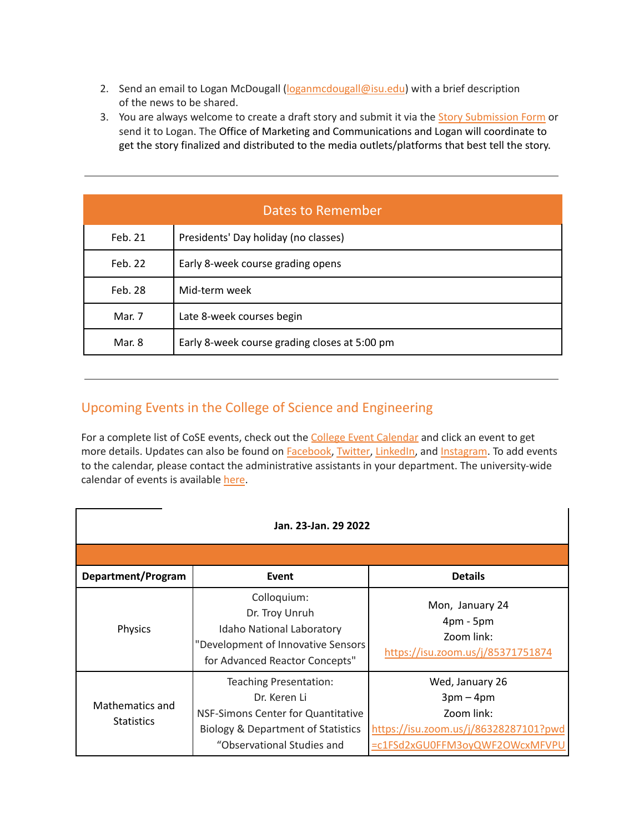- 2. Send an email to Logan McDougall ([loganmcdougall@isu.edu](mailto:loganmcdougall@isu.edu)) with a brief description of the news to be shared.
- 3. You are always welcome to create a draft story and submit it via the Story [Submission](https://www.isu.edu/news/story-form/) Form or send it to Logan. The Office of Marketing and Communications and Logan will coordinate to get the story finalized and distributed to the media outlets/platforms that best tell the story.

| Dates to Remember |                                               |  |
|-------------------|-----------------------------------------------|--|
| Feb. 21           | Presidents' Day holiday (no classes)          |  |
| Feb. 22           | Early 8-week course grading opens             |  |
| Feb. 28           | Mid-term week                                 |  |
| Mar. 7            | Late 8-week courses begin                     |  |
| Mar. 8            | Early 8-week course grading closes at 5:00 pm |  |

# Upcoming Events in the College of Science and Engineering

For a complete list of CoSE events, check out the College Event [Calendar](https://isu.edu/cse/calendar/) and click an event to get more details. Updates can also be found on [Facebook](https://www.facebook.com/IdahoStateUCoSE), [Twitter](https://twitter.com/IdahoStateUCoSE), [LinkedIn,](https://www.linkedin.com/company/idaho-state-university-college-of-science-and-engineering) and [Instagram](https://www.instagram.com/idahostateucose/). To add events to the calendar, please contact the administrative assistants in your department. The university-wide calendar of events is available [here](https://www.isu.edu/calendar/).

| Jan. 23-Jan. 29 2022                 |                                                                                                                                                             |                                                                                                                       |
|--------------------------------------|-------------------------------------------------------------------------------------------------------------------------------------------------------------|-----------------------------------------------------------------------------------------------------------------------|
|                                      |                                                                                                                                                             |                                                                                                                       |
| Department/Program                   | Event                                                                                                                                                       | <b>Details</b>                                                                                                        |
| Physics                              | Colloquium:<br>Dr. Troy Unruh<br><b>Idaho National Laboratory</b><br>"Development of Innovative Sensors<br>for Advanced Reactor Concepts"                   | Mon, January 24<br>$4pm - 5pm$<br>Zoom link:<br>https://isu.zoom.us/j/85371751874                                     |
| Mathematics and<br><b>Statistics</b> | Teaching Presentation:<br>Dr. Keren Li<br>NSF-Simons Center for Quantitative<br><b>Biology &amp; Department of Statistics</b><br>"Observational Studies and | Wed, January 26<br>$3pm-4pm$<br>Zoom link:<br>https://isu.zoom.us/j/86328287101?pwd<br>=c1FSd2xGU0FFM3oyQWF2OWcxMFVPU |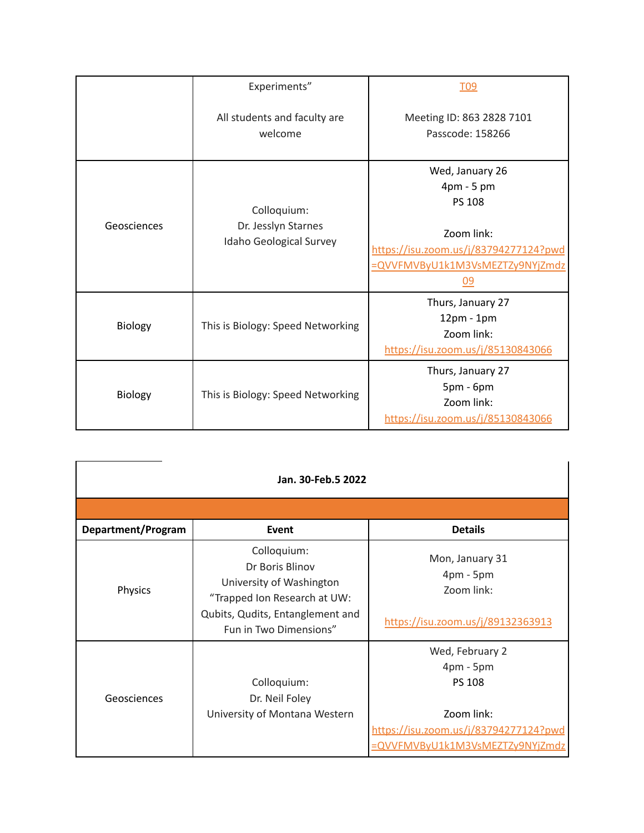|             | Experiments"                                                  | T <sub>09</sub>                                                                                                                                                        |
|-------------|---------------------------------------------------------------|------------------------------------------------------------------------------------------------------------------------------------------------------------------------|
|             | All students and faculty are<br>welcome                       | Meeting ID: 863 2828 7101<br>Passcode: 158266                                                                                                                          |
| Geosciences | Colloquium:<br>Dr. Jesslyn Starnes<br>Idaho Geological Survey | Wed, January 26<br>$4 \text{pm} - 5 \text{pm}$<br><b>PS 108</b><br>Zoom link:<br>https://isu.zoom.us/j/83794277124?pwd<br>=QVVFMVByU1k1M3VsMEZTZy9NYjZmdz<br><u>09</u> |
| Biology     | This is Biology: Speed Networking                             | Thurs, January 27<br>$12pm - 1pm$<br>Zoom link:<br>https://isu.zoom.us/j/85130843066                                                                                   |
| Biology     | This is Biology: Speed Networking                             | Thurs, January 27<br>$5pm - 6pm$<br>Zoom link:<br>https://isu.zoom.us/j/85130843066                                                                                    |

| Jan. 30-Feb.5 2022 |                                                                                                                                                          |                                                                                                                                           |  |
|--------------------|----------------------------------------------------------------------------------------------------------------------------------------------------------|-------------------------------------------------------------------------------------------------------------------------------------------|--|
|                    |                                                                                                                                                          |                                                                                                                                           |  |
| Department/Program | <b>Event</b>                                                                                                                                             | <b>Details</b>                                                                                                                            |  |
| Physics            | Colloquium:<br>Dr Boris Blinov<br>University of Washington<br>"Trapped Ion Research at UW:<br>Qubits, Qudits, Entanglement and<br>Fun in Two Dimensions" | Mon, January 31<br>4pm - 5pm<br>Zoom link:<br>https://isu.zoom.us/j/89132363913                                                           |  |
| Geosciences        | Colloquium:<br>Dr. Neil Foley<br>University of Montana Western                                                                                           | Wed, February 2<br>$4pm - 5pm$<br><b>PS 108</b><br>Zoom link:<br>https://isu.zoom.us/j/83794277124?pwd<br>=QVVFMVByU1k1M3VsMEZTZy9NYjZmdz |  |